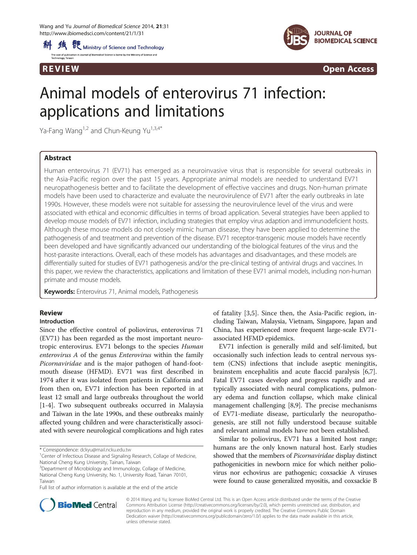



R EVI EW Open Access

# Animal models of enterovirus 71 infection: applications and limitations

Ya-Fang Wang<sup>1,2</sup> and Chun-Keung Yu<sup>1,3,4\*</sup>

# Abstract

Human enterovirus 71 (EV71) has emerged as a neuroinvasive virus that is responsible for several outbreaks in the Asia-Pacific region over the past 15 years. Appropriate animal models are needed to understand EV71 neuropathogenesis better and to facilitate the development of effective vaccines and drugs. Non-human primate models have been used to characterize and evaluate the neurovirulence of EV71 after the early outbreaks in late 1990s. However, these models were not suitable for assessing the neurovirulence level of the virus and were associated with ethical and economic difficulties in terms of broad application. Several strategies have been applied to develop mouse models of EV71 infection, including strategies that employ virus adaption and immunodeficient hosts. Although these mouse models do not closely mimic human disease, they have been applied to determine the pathogenesis of and treatment and prevention of the disease. EV71 receptor-transgenic mouse models have recently been developed and have significantly advanced our understanding of the biological features of the virus and the host-parasite interactions. Overall, each of these models has advantages and disadvantages, and these models are differentially suited for studies of EV71 pathogenesis and/or the pre-clinical testing of antiviral drugs and vaccines. In this paper, we review the characteristics, applications and limitation of these EV71 animal models, including non-human primate and mouse models.

Keywords: Enterovirus 71, Animal models, Pathogenesis

# Review

## Introduction

Since the effective control of poliovirus, enterovirus 71 (EV71) has been regarded as the most important neurotropic enterovirus. EV71 belongs to the species Human enterovirus A of the genus Enterovirus within the family Picornaviridae and is the major pathogen of hand-footmouth disease (HFMD). EV71 was first described in 1974 after it was isolated from patients in California and from then on, EV71 infection has been reported in at least 12 small and large outbreaks throughout the world [[1-4](#page-7-0)]. Two subsequent outbreaks occurred in Malaysia and Taiwan in the late 1990s, and these outbreaks mainly affected young children and were characteristically associated with severe neurological complications and high rates of fatality [[3,5](#page-7-0)]. Since then, the Asia-Pacific region, including Taiwan, Malaysia, Vietnam, Singapore, Japan and China, has experienced more frequent large-scale EV71 associated HFMD epidemics.

EV71 infection is generally mild and self-limited, but occasionally such infection leads to central nervous system (CNS) infections that include aseptic meningitis, brainstem encephalitis and acute flaccid paralysis [\[6,7](#page-7-0)]. Fatal EV71 cases develop and progress rapidly and are typically associated with neural complications, pulmonary edema and function collapse, which make clinical management challenging [[8,](#page-7-0)[9\]](#page-8-0). The precise mechanisms of EV71-mediate disease, particularly the neuropathogenesis, are still not fully understood because suitable and relevant animal models have not been established.

Similar to poliovirus, EV71 has a limited host range; humans are the only known natural host. Early studies showed that the members of Picornaviridae display distinct pathogenicities in newborn mice for which neither poliovirus nor echovirus are pathogenic; coxsackie A viruses were found to cause generalized myositis, and coxsackie B



© 2014 Wang and Yu; licensee BioMed Central Ltd. This is an Open Access article distributed under the terms of the Creative Commons Attribution License [\(http://creativecommons.org/licenses/by/2.0\)](http://creativecommons.org/licenses/by/2.0), which permits unrestricted use, distribution, and reproduction in any medium, provided the original work is properly credited. The Creative Commons Public Domain Dedication waiver [\(http://creativecommons.org/publicdomain/zero/1.0/](http://creativecommons.org/publicdomain/zero/1.0/)) applies to the data made available in this article, unless otherwise stated.

<sup>\*</sup> Correspondence: [dckyu@mail.ncku.edu.tw](mailto:dckyu@mail.ncku.edu.tw) <sup>1</sup>

<sup>&</sup>lt;sup>1</sup> Center of Infectious Disease and Signaling Research, Collage of Medicine, National Cheng Kung University, Tainan, Taiwan

<sup>&</sup>lt;sup>3</sup>Department of Microbiology and Immunology, Collage of Medicine, National Cheng Kung University, No. 1, University Road, Tainan 70101, Taiwan

Full list of author information is available at the end of the article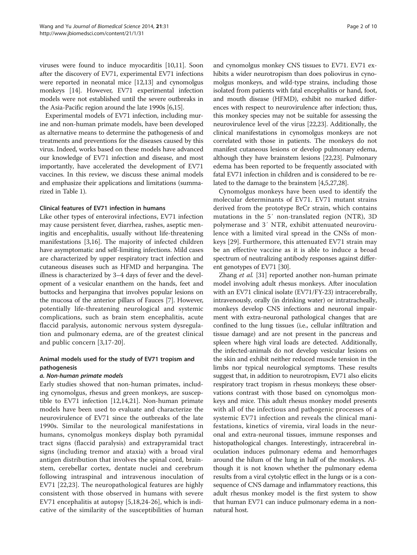viruses were found to induce myocarditis [\[10,11](#page-8-0)]. Soon after the discovery of EV71, experimental EV71 infections were reported in neonatal mice [[12](#page-8-0),[13](#page-8-0)] and cynomolgus monkeys [\[14\]](#page-8-0). However, EV71 experimental infection models were not established until the severe outbreaks in the Asia-Pacific region around the late 1990s [[6](#page-7-0)[,15](#page-8-0)].

Experimental models of EV71 infection, including murine and non-human primate models, have been developed as alternative means to determine the pathogenesis of and treatments and preventions for the diseases caused by this virus. Indeed, works based on these models have advanced our knowledge of EV71 infection and disease, and most importantly, have accelerated the development of EV71 vaccines. In this review, we discuss these animal models and emphasize their applications and limitations (summarized in Table [1\)](#page-2-0).

## Clinical features of EV71 infection in humans

Like other types of enteroviral infections, EV71 infection may cause persistent fever, diarrhea, rashes, aseptic meningitis and encephalitis, usually without life-threatening manifestations [\[3](#page-7-0)[,16](#page-8-0)]. The majority of infected children have asymptomatic and self-limiting infections. Mild cases are characterized by upper respiratory tract infection and cutaneous diseases such as HFMD and herpangina. The illness is characterized by 3–4 days of fever and the development of a vesicular enanthem on the hands, feet and buttocks and herpangina that involves popular lesions on the mucosa of the anterior pillars of Fauces [[7\]](#page-7-0). However, potentially life-threatening neurological and systemic complications, such as brain stem encephalitis, acute flaccid paralysis, autonomic nervous system dysregulation and pulmonary edema, are of the greatest clinical and public concern [\[3](#page-7-0),[17-20](#page-8-0)].

# Animal models used for the study of EV71 tropism and pathogenesis

## a. Non-human primate models

Early studies showed that non-human primates, including cynomolgus, rhesus and green monkeys, are susceptible to EV71 infection [\[12,14,21\]](#page-8-0). Non-human primate models have been used to evaluate and characterize the neurovirulence of EV71 since the outbreaks of the late 1990s. Similar to the neurological manifestations in humans, cynomolgus monkeys display both pyramidal tract signs (flaccid paralysis) and extrapyramidal tract signs (including tremor and ataxia) with a broad viral antigen distribution that involves the spinal cord, brainstem, cerebellar cortex, dentate nuclei and cerebrum following intraspinal and intravenous inoculation of EV71 [\[22](#page-8-0),[23\]](#page-8-0). The neuropathological features are highly consistent with those observed in humans with severe EV71 encephalitis at autopsy [\[5](#page-7-0),[18,24-26\]](#page-8-0), which is indicative of the similarity of the susceptibilities of human

and cynomolgus monkey CNS tissues to EV71. EV71 exhibits a wider neurotropism than does poliovirus in cynomolgus monkeys, and wild-type strains, including those isolated from patients with fatal encephalitis or hand, foot, and mouth disease (HFMD), exhibit no marked differences with respect to neurovirulence after infection; thus, this monkey species may not be suitable for assessing the neurovirulence level of the virus [[22,23](#page-8-0)]. Additionally, the clinical manifestations in cynomolgus monkeys are not correlated with those in patients. The monkeys do not manifest cutaneous lesions or develop pulmonary edema, although they have brainstem lesions [\[22,23\]](#page-8-0). Pulmonary edema has been reported to be frequently associated with fatal EV71 infection in children and is considered to be related to the damage to the brainstem [[4,5](#page-7-0)[,27,28\]](#page-8-0).

Cynomolgus monkeys have been used to identify the molecular determinants of EV71. EV71 mutant strains derived from the prototype BrCr strain, which contains mutations in the 5′ non-translated region (NTR), 3D polymerase and 3′ NTR, exhibit attenuated neurovirulence with a limited viral spread in the CNSs of monkeys [[29\]](#page-8-0). Furthermore, this attenuated EV71 strain may be an effective vaccine as it is able to induce a broad spectrum of neutralizing antibody responses against different genotypes of EV71 [\[30](#page-8-0)].

Zhang et al. [[31](#page-8-0)] reported another non-human primate model involving adult rhesus monkeys. After inoculation with an EV71 clinical isolate (EV71/FY-23) intracerebrally, intravenously, orally (in drinking water) or intratracheally, monkeys develop CNS infections and neuronal impairment with extra-neuronal pathological changes that are confined to the lung tissues (i.e., cellular infiltration and tissue damage) and are not present in the pancreas and spleen where high viral loads are detected. Additionally, the infected-animals do not develop vesicular lesions on the skin and exhibit neither reduced muscle tension in the limbs nor typical neurological symptoms. These results suggest that, in addition to neurotropism, EV71 also elicits respiratory tract tropism in rhesus monkeys; these observations contrast with those based on cynomolgus monkeys and mice. This adult rhesus monkey model presents with all of the infectious and pathogenic processes of a systemic EV71 infection and reveals the clinical manifestations, kinetics of viremia, viral loads in the neuronal and extra-neuronal tissues, immune responses and histopathological changes. Interestingly, intracerebral inoculation induces pulmonary edema and hemorrhages around the hilum of the lung in half of the monkeys. Although it is not known whether the pulmonary edema results from a viral cytolytic effect in the lungs or is a consequence of CNS damage and inflammatory reactions, this adult rhesus monkey model is the first system to show that human EV71 can induce pulmonary edema in a nonnatural host.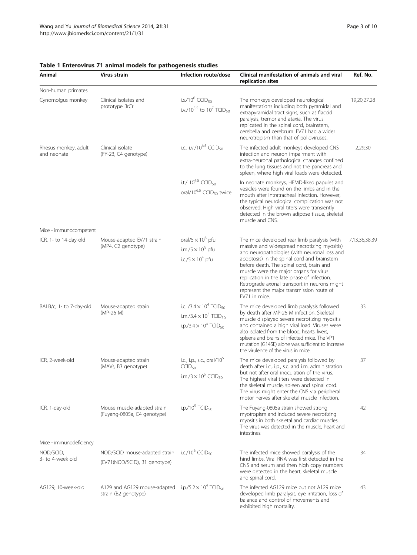| Animal                              | Virus strain                                                                                              | Infection route/dose                                                                                                                                       | Clinical manifestation of animals and viral<br>replication sites                                                                                                                                                                                                                                                                                                                                                                               | Ref. No.      |
|-------------------------------------|-----------------------------------------------------------------------------------------------------------|------------------------------------------------------------------------------------------------------------------------------------------------------------|------------------------------------------------------------------------------------------------------------------------------------------------------------------------------------------------------------------------------------------------------------------------------------------------------------------------------------------------------------------------------------------------------------------------------------------------|---------------|
| Non-human primates                  |                                                                                                           |                                                                                                                                                            |                                                                                                                                                                                                                                                                                                                                                                                                                                                |               |
| Cynomolgus monkey                   | Clinical isolates and<br>prototype BrCr                                                                   | i.s./10 $^{6}$ CCID <sub>50</sub><br>i.v./10 <sup>5.5</sup> to 10 <sup>7</sup> TCID <sub>50</sub>                                                          | The monkeys developed neurological<br>manifestations including both pyramidal and<br>extrapyramidal tract signs, such as flaccid<br>paralysis, tremor and ataxia. The virus<br>replicated in the spinal cord, brainstem,<br>cerebella and cerebrum. EV71 had a wider<br>neurotropism than that of polioviruses.                                                                                                                                | 19,20,27,28   |
| Rhesus monkey, adult<br>and neonate | Clinical isolate<br>(FY-23, C4 genotype)                                                                  | i.c., i.v./10 $^{6.5}$ CCID <sub>50</sub>                                                                                                                  | The infected adult monkeys developed CNS<br>infection and neuron impairment with<br>extra-neuronal pathological changes confined<br>to the lung tissues and not the pancreas and<br>spleen, where high viral loads were detected.                                                                                                                                                                                                              | 2,29,30       |
|                                     |                                                                                                           | i.t./ $10^{4.5}$ CCID <sub>50</sub><br>oral/10 <sup>6.5</sup> CCID <sub>50</sub> twice                                                                     | In neonate monkeys, HFMD-liked papules and<br>vesicles were found on the limbs and in the<br>mouth after intratracheal infection. However,<br>the typical neurological complication was not<br>observed. High viral titers were transiently<br>detected in the brown adipose tissue, skeletal<br>muscle and CNS.                                                                                                                               |               |
| Mice - immunocompetent              |                                                                                                           |                                                                                                                                                            |                                                                                                                                                                                                                                                                                                                                                                                                                                                |               |
| ICR, 1- to 14-day-old               | Mouse-adapted EV71 strain<br>(MP4, C2 genotype)                                                           | oral/5 $\times$ 10 <sup>6</sup> pfu<br>i.m./5 $\times$ 10 <sup>3</sup> pfu                                                                                 | The mice developed rear limb paralysis (with<br>massive and widespread necrotizing myositis)<br>and neuropathologies (with neuronal loss and<br>apoptosis) in the spinal cord and brainstem<br>before death. The spinal cord, brain and<br>muscle were the major organs for virus<br>replication in the late phase of infection.<br>Retrograde axonal transport in neurons might<br>represent the major transmission route of<br>EV71 in mice. | 7,13,36,38,39 |
|                                     |                                                                                                           | i.c./5 $\times$ 10 <sup>4</sup> pfu                                                                                                                        |                                                                                                                                                                                                                                                                                                                                                                                                                                                |               |
| BALB/c, 1- to 7-day-old             | Mouse-adapted strain<br>(MP-26 M)                                                                         | i.c. $/3.4 \times 10^4$ TCID <sub>50</sub><br>i.m./3.4 $\times$ 10 <sup>3</sup> TCID <sub>50</sub><br>i.p./3.4 $\times$ 10 <sup>4</sup> TCID <sub>50</sub> | The mice developed limb paralysis followed<br>by death after MP-26 M infection. Skeletal<br>muscle displayed severe necrotizing myositis<br>and contained a high viral load. Viruses were<br>also isolated from the blood, hearts, livers,<br>spleens and brains of infected mice. The VP1<br>mutation (G145E) alone was sufficient to increase<br>the virulence of the virus in mice.                                                         | 33            |
| ICR, 2-week-old                     | Mouse-adapted strain<br>(MAVs, B3 genotype)                                                               | i.c., i.p., s.c., oral/10 <sup>5</sup><br>CCID <sub>50</sub><br>i.m./3 $\times$ 10 <sup>5</sup> CCID <sub>50</sub>                                         | The mice developed paralysis followed by<br>death after i.c., i.p., s.c. and i.m. administration<br>but not after oral inoculation of the virus.<br>The highest viral titers were detected in<br>the skeletal muscle, spleen and spinal cord.<br>The virus might enter the CNS via peripheral<br>motor nerves after skeletal muscle infection.                                                                                                 | 37            |
| ICR, 1-day-old                      | Mouse muscle-adapted strain<br>(Fuyang-0805a, C4 genotype)                                                | i.p./10 $5$ TCID <sub>50</sub>                                                                                                                             | The Fuyang-0805a strain showed strong<br>myotropism and induced severe necrotizing<br>myositis in both skeletal and cardiac muscles.<br>The virus was detected in the muscle, heart and<br>intestines.                                                                                                                                                                                                                                         | 42            |
| Mice - immunodeficiency             |                                                                                                           |                                                                                                                                                            |                                                                                                                                                                                                                                                                                                                                                                                                                                                |               |
| NOD/SCID,<br>3- to 4-week old       | NOD/SCID mouse-adapted strain<br>(EV71(NOD/SCID), B1 genotype)                                            | i.c./10 $^6$ CCID <sub>50</sub>                                                                                                                            | The infected mice showed paralysis of the<br>hind limbs. Viral RNA was first detected in the<br>CNS and serum and then high copy numbers<br>were detected in the heart, skeletal muscle<br>and spinal cord.                                                                                                                                                                                                                                    | 34            |
| AG129, 10-week-old                  | A129 and AG129 mouse-adapted i.p./5.2 $\times$ 10 <sup>4</sup> TCID <sub>50</sub><br>strain (B2 genotype) |                                                                                                                                                            | The infected AG129 mice but not A129 mice<br>developed limb paralysis, eye irritation, loss of<br>balance and control of movements and<br>exhibited high mortality.                                                                                                                                                                                                                                                                            | 43            |

# <span id="page-2-0"></span>Table 1 Enterovirus 71 animal models for pathogenesis studies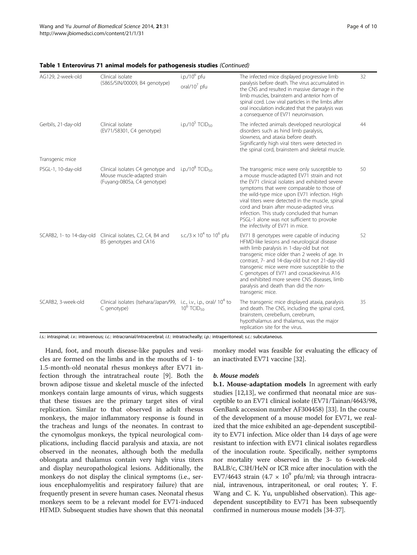| AG129, 2-week-old        | Clinical isolate<br>(5865/SIN/00009, B4 genotype)                                               | $i$ .p./10 $6$ pfu                                             | The infected mice displayed progressive limb                                                                                                                                                                                                                                                                                                                                                                                                                               | 32 |
|--------------------------|-------------------------------------------------------------------------------------------------|----------------------------------------------------------------|----------------------------------------------------------------------------------------------------------------------------------------------------------------------------------------------------------------------------------------------------------------------------------------------------------------------------------------------------------------------------------------------------------------------------------------------------------------------------|----|
|                          |                                                                                                 | oral/10 $^7$ pfu                                               | paralysis before death. The virus accumulated in<br>the CNS and resulted in massive damage in the<br>limb muscles, brainstem and anterior horn of<br>spinal cord. Low viral particles in the limbs after<br>oral inoculation indicated that the paralysis was<br>a consequence of EV71 neuroinvasion.                                                                                                                                                                      |    |
| Gerbils, 21-day-old      | Clinical isolate<br>(EV71/58301, C4 genotype)                                                   | i.p./10 <sup>5</sup> TCID <sub>50</sub>                        | The infected animals developed neurological<br>disorders such as hind limb paralysis,<br>slowness, and ataxia before death.<br>Significantly high viral titers were detected in<br>the spinal cord, brainstem and skeletal muscle.                                                                                                                                                                                                                                         | 44 |
| Transgenic mice          |                                                                                                 |                                                                |                                                                                                                                                                                                                                                                                                                                                                                                                                                                            |    |
| PSGL-1, 10-day-old       | Clinical isolates C4 genotype and<br>Mouse muscle-adapted strain<br>(Fuyang-0805a, C4 genotype) | i.p./10 $8$ TCID <sub>50</sub>                                 | The transgenic mice were only susceptible to<br>a mouse muscle-adapted EV71 strain and not<br>the EV71 clinical isolates and exhibited severe<br>symptoms that were comparable to those of<br>the wild-type mice upon EV71 infection. High<br>viral titers were detected in the muscle, spinal<br>cord and brain after mouse-adapted virus<br>infection. This study concluded that human<br>PSGL-1 alone was not sufficient to provoke<br>the infectivity of EV71 in mice. | 50 |
| SCARB2, 1- to 14-day-old | Clinical isolates, C2, C4, B4 and<br>B5 genotypes and CA16                                      | s.c./ $3 \times 10^4$ to $10^6$ pfu                            | EV71 B genotypes were capable of inducing<br>HFMD-like lesions and neurological disease<br>with limb paralysis in 1-day-old but not<br>transgenic mice older than 2 weeks of age. In<br>contrast, 7- and 14-day-old but not 21-day-old<br>transgenic mice were more susceptible to the<br>C genotypes of EV71 and coxsackievirus A16<br>and exhibited more severe CNS diseases, limb<br>paralysis and death than did the non-<br>transgenic mice.                          | 52 |
| SCARB2, 3-week-old       | Clinical isolates (Isehara/Japan/99,<br>C genotype)                                             | i.c., i.v., i.p., oral/ $10^4$ to<br>$10^6$ TCID <sub>50</sub> | The transgenic mice displayed ataxia, paralysis<br>and death. The CNS, including the spinal cord,<br>brainstem, cerebellum, cerebrum,<br>hypothalamus and thalamus, was the major<br>replication site for the virus.                                                                                                                                                                                                                                                       | 35 |

#### Table 1 Enterovirus 71 animal models for pathogenesis studies (Continued)

i.s.: intraspinal; i.v.: intravenous; i.c.: intracranial/intracerebral; i.t.: intratracheally; i.p.: intraperitoneal; s.c.; subcutaneous.

Hand, foot, and mouth disease-like papules and vesicles are formed on the limbs and in the mouths of 1- to 1.5-month-old neonatal rhesus monkeys after EV71 infection through the intratracheal route [\[9](#page-8-0)]. Both the brown adipose tissue and skeletal muscle of the infected monkeys contain large amounts of virus, which suggests that these tissues are the primary target sites of viral replication. Similar to that observed in adult rhesus monkeys, the major inflammatory response is found in the tracheas and lungs of the neonates. In contrast to the cynomolgus monkeys, the typical neurological complications, including flaccid paralysis and ataxia, are not observed in the neonates, although both the medulla oblongata and thalamus contain very high virus titers and display neuropathological lesions. Additionally, the monkeys do not display the clinical symptoms (i.e., serious encephalomyelitis and respiratory failure) that are frequently present in severe human cases. Neonatal rhesus monkeys seem to be a relevant model for EV71-induced HFMD. Subsequent studies have shown that this neonatal

monkey model was feasible for evaluating the efficacy of an inactivated EV71 vaccine [\[32](#page-8-0)].

## b. Mouse models

b.1. Mouse-adaptation models In agreement with early studies [[12,13](#page-8-0)], we confirmed that neonatal mice are susceptible to an EV71 clinical isolate (EV71/Tainan/4643/98, GenBank accession number AF304458) [\[33](#page-8-0)]. In the course of the development of a mouse model for EV71, we realized that the mice exhibited an age-dependent susceptibility to EV71 infection. Mice older than 14 days of age were resistant to infection with EV71 clinical isolates regardless of the inoculation route. Specifically, neither symptoms nor mortality were observed in the 3- to 6-week-old BALB/c, C3H/HeN or ICR mice after inoculation with the EV7/4643 strain (4.7  $\times$  10<sup>9</sup> pfu/ml; via through intracranial, intravenous, intraperitoneal, or oral routes; Y. F. Wang and C. K. Yu, unpublished observation). This agedependent susceptibility to EV71 has been subsequently confirmed in numerous mouse models [\[34-37](#page-8-0)].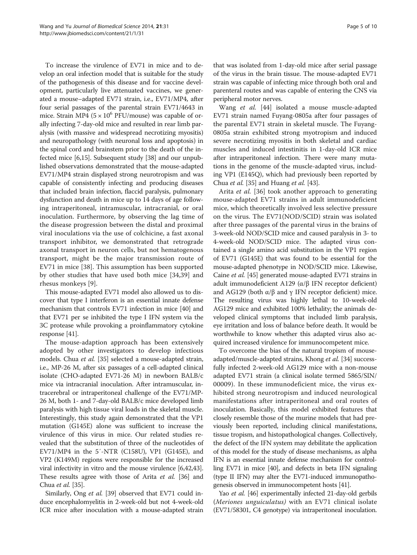To increase the virulence of EV71 in mice and to develop an oral infection model that is suitable for the study of the pathogenesis of this disease and for vaccine development, particularly live attenuated vaccines, we generated a mouse–adapted EV71 strain, i.e., EV71/MP4, after four serial passages of the parental strain EV71/4643 in mice. Strain MP4 ( $5 \times 10^6$  PFU/mouse) was capable of orally infecting 7-day-old mice and resulted in rear limb paralysis (with massive and widespread necrotizing myositis) and neuropathology (with neuronal loss and apoptosis) in the spinal cord and brainstem prior to the death of the infected mice [\[6,](#page-7-0)[15\]](#page-8-0). Subsequent study [[38](#page-8-0)] and our unpublished observations demonstrated that the mouse-adapted EV71/MP4 strain displayed strong neurotropism and was capable of consistently infecting and producing diseases that included brain infection, flaccid paralysis, pulmonary dysfunction and death in mice up to 14 days of age following intraperitoneal, intramuscular, intracranial, or oral inoculation. Furthermore, by observing the lag time of the disease progression between the distal and proximal viral inoculations via the use of colchicine, a fast axonal transport inhibitor, we demonstrated that retrograde axonal transport in neuron cells, but not hematogenous transport, might be the major transmission route of EV71 in mice [[38\]](#page-8-0). This assumption has been supported by other studies that have used both mice [[34,39](#page-8-0)] and rhesus monkeys [[9\]](#page-8-0).

This mouse-adapted EV71 model also allowed us to discover that type I interferon is an essential innate defense mechanism that controls EV71 infection in mice [[40](#page-8-0)] and that EV71 per se inhibited the type I IFN system via the 3C protease while provoking a proinflammatory cytokine response [[41](#page-8-0)].

The mouse-adaption approach has been extensively adopted by other investigators to develop infectious models. Chua et al. [\[35](#page-8-0)] selected a mouse-adapted strain, i.e., MP-26 M, after six passages of a cell-adapted clinical isolate (CHO-adapted EV71-26 M) in newborn BALB/c mice via intracranial inoculation. After intramuscular, intracerebral or intraperitoneal challenge of the EV71/MP-26 M, both 1- and 7-day-old BALB/c mice developed limb paralysis with high tissue viral loads in the skeletal muscle. Interestingly, this study again demonstrated that the VP1 mutation (G145E) alone was sufficient to increase the virulence of this virus in mice. Our related studies revealed that the substitution of three of the nucleotides of EV71/MP4 in the 5′-NTR (C158U), VP1 (G145E), and VP2 (K149M) regions were responsible for the increased viral infectivity in vitro and the mouse virulence [\[6](#page-7-0)[,42,43](#page-8-0)]. These results agree with those of Arita et al. [\[36\]](#page-8-0) and Chua et al. [\[35\]](#page-8-0).

Similarly, Ong et al. [[39](#page-8-0)] observed that EV71 could induce encephalomyelitis in 2-week-old but not 4-week-old ICR mice after inoculation with a mouse-adapted strain

that was isolated from 1-day-old mice after serial passage of the virus in the brain tissue. The mouse-adapted EV71 strain was capable of infecting mice through both oral and parenteral routes and was capable of entering the CNS via peripheral motor nerves.

Wang et al. [\[44](#page-8-0)] isolated a mouse muscle-adapted EV71 strain named Fuyang-0805a after four passages of the parental EV71 strain in skeletal muscle. The Fuyang-0805a strain exhibited strong myotropism and induced severe necrotizing myositis in both skeletal and cardiac muscles and induced intestinitis in 1-day-old ICR mice after intraperitoneal infection. There were many mutations in the genome of the muscle-adapted virus, including VP1 (E145Q), which had previously been reported by Chua et al. [\[35\]](#page-8-0) and Huang et al. [[43\]](#page-8-0).

Arita *et al.* [[36\]](#page-8-0) took another approach to generating mouse-adapted EV71 strains in adult immunodeficient mice, which theoretically involved less selective pressure on the virus. The EV71(NOD/SCID) strain was isolated after three passages of the parental virus in the brains of 3-week-old NOD/SCID mice and caused paralysis in 3- to 4-week-old NOD/SCID mice. The adapted virus contained a single amino acid substitution in the VP1 region of EV71 (G145E) that was found to be essential for the mouse-adapted phenotype in NOD/SCID mice. Likewise, Caine et al. [\[45\]](#page-8-0) generated mouse-adapted EV71 strains in adult immunodeficient A129 (α/β IFN receptor deficient) and AG129 (both  $\alpha$ /β and γ IFN receptor deficient) mice. The resulting virus was highly lethal to 10-week-old AG129 mice and exhibited 100% lethality; the animals developed clinical symptoms that included limb paralysis, eye irritation and loss of balance before death. It would be worthwhile to know whether this adapted virus also acquired increased virulence for immunocompetent mice.

To overcome the bias of the natural tropism of mouse-adapted/muscle-adapted strains, Khong et al. [\[34](#page-8-0)] successfully infected 2-week-old AG129 mice with a non-mouse adapted EV71 strain (a clinical isolate termed 5865/SIN/ 00009). In these immunodeficient mice, the virus exhibited strong neurotropism and induced neurological manifestations after intraperitoneal and oral routes of inoculation. Basically, this model exhibited features that closely resemble those of the murine models that had previously been reported, including clinical manifestations, tissue tropism, and histopathological changes. Collectively, the defect of the IFN system may debilitate the application of this model for the study of disease mechanisms, as alpha IFN is an essential innate defense mechanism for controlling EV71 in mice [[40\]](#page-8-0), and defects in beta IFN signaling (type II IFN) may alter the EV71-induced immunopathogenesis observed in immunocompetent hosts [\[41](#page-8-0)].

Yao et al. [[46](#page-8-0)] experimentally infected 21-day-old gerbils (Meriones unguiculatus) with an EV71 clinical isolate (EV71/58301, C4 genotype) via intraperitoneal inoculation.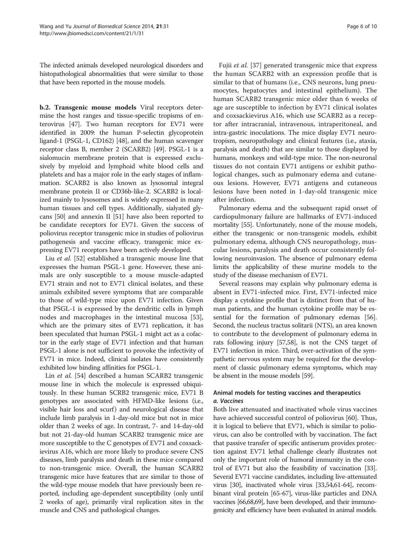The infected animals developed neurological disorders and histopathological abnormalities that were similar to those that have been reported in the mouse models.

b.2. Transgenic mouse models Viral receptors determine the host ranges and tissue-specific tropisms of enterovirus [[47](#page-8-0)]. Two human receptors for EV71 were identified in 2009: the human P-selectin glycoprotein ligand-1 (PSGL-1, CD162) [\[48\]](#page-8-0), and the human scavenger receptor class B, member 2 (SCARB2) [\[49\]](#page-8-0). PSGL-1 is a sialomucin membrane protein that is expressed exclusively by myeloid and lymphoid white blood cells and platelets and has a major role in the early stages of inflammation. SCARB2 is also known as lysosomal integral membrane protein II or CD36b-like-2. SCARB2 is localized mainly to lysosomes and is widely expressed in many human tissues and cell types. Additionally, sialyated glycans [\[50\]](#page-8-0) and annexin II [[51](#page-8-0)] have also been reported to be candidate receptors for EV71. Given the success of poliovirus receptor transgenic mice in studies of poliovirus pathogenesis and vaccine efficacy, transgenic mice expressing EV71 receptors have been actively developed.

Liu et al. [[52\]](#page-8-0) established a transgenic mouse line that expresses the human PSGL-1 gene. However, these animals are only susceptible to a mouse muscle-adapted EV71 strain and not to EV71 clinical isolates, and these animals exhibited severe symptoms that are comparable to those of wild-type mice upon EV71 infection. Given that PSGL-1 is expressed by the dendritic cells in lymph nodes and macrophages in the intestinal mucosa [\[53](#page-9-0)], which are the primary sites of EV71 replication, it has been speculated that human PSGL-1 might act as a cofactor in the early stage of EV71 infection and that human PSGL-1 alone is not sufficient to provoke the infectivity of EV71 in mice. Indeed, clinical isolates have consistently exhibited low binding affinities for PSGL-1.

Lin et al. [[54\]](#page-9-0) described a human SCARB2 transgenic mouse line in which the molecule is expressed ubiquitously. In these human SCRB2 transgenic mice, EV71 B genotypes are associated with HFMD-like lesions (i.e., visible hair loss and scurf) and neurological disease that include limb paralysis in 1-day-old mice but not in mice older than 2 weeks of age. In contrast, 7- and 14-day-old but not 21-day-old human SCARB2 transgenic mice are more susceptible to the C genotypes of EV71 and coxsackievirus A16, which are more likely to produce severe CNS diseases, limb paralysis and death in these mice compared to non-transgenic mice. Overall, the human SCARB2 transgenic mice have features that are similar to those of the wild-type mouse models that have previously been reported, including age-dependent susceptibility (only until 2 weeks of age), primarily viral replication sites in the muscle and CNS and pathological changes.

Fujii et al. [[37\]](#page-8-0) generated transgenic mice that express the human SCARB2 with an expression profile that is similar to that of humans (i.e., CNS neurons, lung pneumocytes, hepatocytes and intestinal epithelium). The human SCARB2 transgenic mice older than 6 weeks of age are susceptible to infection by EV71 clinical isolates and coxsackievirus A16, which use SCARB2 as a receptor after intracranial, intravenous, intraperitoneal, and intra-gastric inoculations. The mice display EV71 neurotropism, neuropathology and clinical features (i.e., ataxia, paralysis and death) that are similar to those displayed by humans, monkeys and wild-type mice. The non-neuronal tissues do not contain EV71 antigens or exhibit pathological changes, such as pulmonary edema and cutaneous lesions. However, EV71 antigens and cutaneous lesions have been noted in 1-day-old transgenic mice after infection.

Pulmonary edema and the subsequent rapid onset of cardiopulmonary failure are hallmarks of EV71-induced mortality [[55](#page-9-0)]. Unfortunately, none of the mouse models, either the transgenic or non-transgenic models, exhibit pulmonary edema, although CNS neuropathology, muscular lesions, paralysis and death occur consistently following neuroinvasion. The absence of pulmonary edema limits the applicability of these murine models to the study of the disease mechanism of EV71.

Several reasons may explain why pulmonary edema is absent in EV71-infected mice. First, EV71-infected mice display a cytokine profile that is distinct from that of human patients, and the human cytokine profile may be essential for the formation of pulmonary edemas [[56](#page-9-0)]. Second, the nucleus tractus solitarii (NTS), an area known to contribute to the development of pulmonary edema in rats following injury [[57,58\]](#page-9-0), is not the CNS target of EV71 infection in mice. Third, over-activation of the sympathetic nervous system may be required for the development of classic pulmonary edema symptoms, which may be absent in the mouse models [\[59\]](#page-9-0).

# Animal models for testing vaccines and therapeutics a. Vaccines

Both live attenuated and inactivated whole virus vaccines have achieved successful control of poliovirus [\[60](#page-9-0)]. Thus, it is logical to believe that EV71, which is similar to poliovirus, can also be controlled with by vaccination. The fact that passive transfer of specific antiserum provides protection against EV71 lethal challenge clearly illustrates not only the important role of humoral immunity in the control of EV71 but also the feasibility of vaccination [[33](#page-8-0)]. Several EV71 vaccine candidates, including live-attenuated virus [[30](#page-8-0)], inactivated whole virus [[33,](#page-8-0)[54,61-64\]](#page-9-0), recombinant viral protein [\[65-67\]](#page-9-0), virus-like particles and DNA vaccines [\[66,68,69](#page-9-0)], have been developed, and their immunogenicity and efficiency have been evaluated in animal models.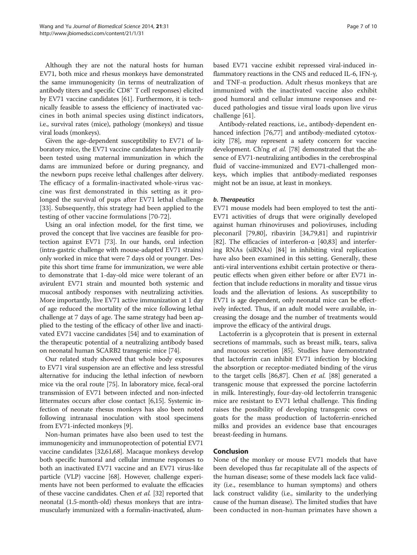Although they are not the natural hosts for human EV71, both mice and rhesus monkeys have demonstrated the same immunogenicity (in terms of neutralization of antibody titers and specific CD8<sup>+</sup> T cell responses) elicited by EV71 vaccine candidates [\[61](#page-9-0)]. Furthermore, it is technically feasible to assess the efficiency of inactivated vaccines in both animal species using distinct indicators, i.e., survival rates (mice), pathology (monkeys) and tissue viral loads (monkeys).

Given the age-dependent susceptibility to EV71 of laboratory mice, the EV71 vaccine candidates have primarily been tested using maternal immunization in which the dams are immunized before or during pregnancy, and the newborn pups receive lethal challenges after delivery. The efficacy of a formalin-inactivated whole-virus vaccine was first demonstrated in this setting as it prolonged the survival of pups after EV71 lethal challenge [[33\]](#page-8-0). Subsequently, this strategy had been applied to the testing of other vaccine formulations [[70-72](#page-9-0)].

Using an oral infection model, for the first time, we proved the concept that live vaccines are feasible for protection against EV71 [[73\]](#page-9-0). In our hands, oral infection (intra-gastric challenge with mouse-adapted EV71 strains) only worked in mice that were 7 days old or younger. Despite this short time frame for immunization, we were able to demonstrate that 1-day-old mice were tolerant of an avirulent EV71 strain and mounted both systemic and mucosal antibody responses with neutralizing activities. More importantly, live EV71 active immunization at 1 day of age reduced the mortality of the mice following lethal challenge at 7 days of age. The same strategy had been applied to the testing of the efficacy of other live and inactivated EV71 vaccine candidates [\[54\]](#page-9-0) and to examination of the therapeutic potential of a neutralizing antibody based on neonatal human SCARB2 transgenic mice [[74](#page-9-0)].

Our related study showed that whole body exposures to EV71 viral suspension are an effective and less stressful alternative for inducing the lethal infection of newborn mice via the oral route [\[75\]](#page-9-0). In laboratory mice, fecal-oral transmission of EV71 between infected and non-infected littermates occurs after close contact [[6,](#page-7-0)[15](#page-8-0)]. Systemic infection of neonate rhesus monkeys has also been noted following intranasal inoculation with stool specimens from EV71-infected monkeys [[9\]](#page-8-0).

Non-human primates have also been used to test the immunogenicity and immunoprotection of potential EV71 vaccine candidates [[32](#page-8-0)[,61,68\]](#page-9-0). Macaque monkeys develop both specific humoral and cellular immune responses to both an inactivated EV71 vaccine and an EV71 virus-like particle (VLP) vaccine [[68\]](#page-9-0). However, challenge experiments have not been performed to evaluate the efficacies of these vaccine candidates. Chen et al. [[32](#page-8-0)] reported that neonatal (1.5-month-old) rhesus monkeys that are intramuscularly immunized with a formalin-inactivated, alum-

based EV71 vaccine exhibit repressed viral-induced inflammatory reactions in the CNS and reduced IL-6, IFN-γ, and TNF-α production. Adult rhesus monkeys that are immunized with the inactivated vaccine also exhibit good humoral and cellular immune responses and reduced pathologies and tissue viral loads upon live virus challenge [[61\]](#page-9-0).

Antibody-related reactions, i.e., antibody-dependent enhanced infection [[76,77\]](#page-9-0) and antibody-mediated cytotoxicity [\[78\]](#page-9-0), may represent a safety concern for vaccine development. Ch'ng et al. [[78](#page-9-0)] demonstrated that the absence of EV71-neutralizing antibodies in the cerebrospinal fluid of vaccine-immunized and EV71-challenged monkeys, which implies that antibody-mediated responses might not be an issue, at least in monkeys.

## b. Therapeutics

EV71 mouse models had been employed to test the anti-EV71 activities of drugs that were originally developed against human rhinoviruses and polioviruses, including pleconaril [[79](#page-9-0),[80](#page-9-0)], ribavirin [[34,](#page-8-0)[79,81\]](#page-9-0) and rupintrivir [[82\]](#page-9-0). The efficacies of interferon-α [[40,](#page-8-0)[83\]](#page-9-0) and interfering RNAs (siRNAs) [[84\]](#page-9-0) in inhibiting viral replication have also been examined in this setting. Generally, these anti-viral interventions exhibit certain protective or therapeutic effects when given either before or after EV71 infection that include reductions in morality and tissue virus loads and the alleviation of lesions. As susceptibility to EV71 is age dependent, only neonatal mice can be effectively infected. Thus, if an adult model were available, increasing the dosage and the number of treatments would improve the efficacy of the antiviral drugs.

Lactoferrin is a glycoprotein that is present in external secretions of mammals, such as breast milk, tears, saliva and mucous secretion [[85\]](#page-9-0). Studies have demonstrated that lactoferrin can inhibit EV71 infection by blocking the absorption or receptor-mediated binding of the virus to the target cells [[86,87\]](#page-9-0). Chen et al. [\[88\]](#page-9-0) generated a transgenic mouse that expressed the porcine lactoferrin in milk. Interestingly, four-day-old lectoferrin transgenic mice are resistant to EV71 lethal challenge. This finding raises the possibility of developing transgenic cows or goats for the mass production of lactoferrin-enriched milks and provides an evidence base that encourages breast-feeding in humans.

## Conclusion

None of the monkey or mouse EV71 models that have been developed thus far recapitulate all of the aspects of the human disease; some of these models lack face validity (i.e., resemblance to human symptoms) and others lack construct validity (i.e., similarity to the underlying cause of the human disease). The limited studies that have been conducted in non-human primates have shown a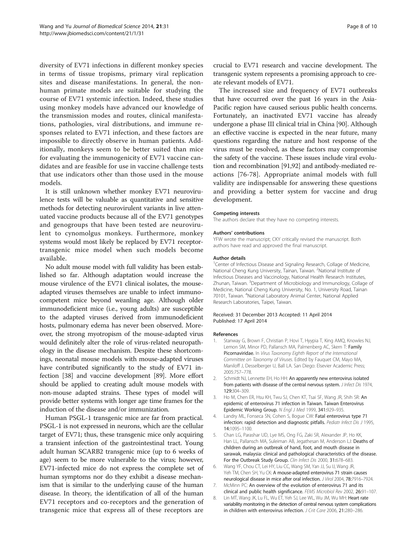<span id="page-7-0"></span>diversity of EV71 infections in different monkey species in terms of tissue tropisms, primary viral replication sites and disease manifestations. In general, the nonhuman primate models are suitable for studying the course of EV71 systemic infection. Indeed, these studies using monkey models have advanced our knowledge of the transmission modes and routes, clinical manifestations, pathologies, viral distributions, and immune responses related to EV71 infection, and these factors are impossible to directly observe in human patients. Additionally, monkeys seem to be better suited than mice for evaluating the immunogenicity of EV71 vaccine candidates and are feasible for use in vaccine challenge tests that use indicators other than those used in the mouse models.

It is still unknown whether monkey EV71 neurovirulence tests will be valuable as quantitative and sensitive methods for detecting neurovirulent variants in live attenuated vaccine products because all of the EV71 genotypes and genogroups that have been tested are neurovirulent to cynomolgus monkeys. Furthermore, monkey systems would most likely be replaced by EV71 receptortransgenic mice model when such models become available.

No adult mouse model with full validity has been established so far. Although adaptation would increase the mouse virulence of the EV71 clinical isolates, the mouseadapted viruses themselves are unable to infect immunocompetent mice beyond weanling age. Although older immunodeficient mice (i.e., young adults) are susceptible to the adapted viruses derived from immunodeficient hosts, pulmonary edema has never been observed. Moreover, the strong myotropism of the mouse-adapted virus would definitely alter the role of virus-related neuropathology in the disease mechanism. Despite these shortcomings, neonatal mouse models with mouse-adapted viruses have contributed significantly to the study of EV71 infection [[38\]](#page-8-0) and vaccine development [[89](#page-9-0)]. More effort should be applied to creating adult mouse models with non-mouse adapted strains. These types of model will provide better systems with longer age time frames for the induction of the disease and/or immunization.

Human PSGL-1 transgenic mice are far from practical. PSGL-1 is not expressed in neurons, which are the cellular target of EV71; thus, these transgenic mice only acquiring a transient infection of the gastrointestinal tract. Young adult human SCARB2 transgenic mice (up to 6 weeks of age) seem to be more vulnerable to the virus; however, EV71-infected mice do not express the complete set of human symptoms nor do they exhibit a disease mechanism that is similar to the underlying cause of the human disease. In theory, the identification of all of the human EV71 receptors and co-receptors and the generation of transgenic mice that express all of these receptors are

crucial to EV71 research and vaccine development. The transgenic system represents a promising approach to create relevant models of EV71.

The increased size and frequency of EV71 outbreaks that have occurred over the past 16 years in the Asia-Pacific region have caused serious public health concerns. Fortunately, an inactivated EV71 vaccine has already undergone a phase III clinical trial in China [\[90](#page-9-0)]. Although an effective vaccine is expected in the near future, many questions regarding the nature and host response of the virus must be resolved, as these factors may compromise the safety of the vaccine. These issues include viral evolution and recombination [[91,92](#page-9-0)] and antibody-mediated reactions [[76-78](#page-9-0)]. Appropriate animal models with full validity are indispensable for answering these questions and providing a better system for vaccine and drug development.

### Competing interests

The authors declare that they have no competing interests.

#### Authors' contributions

YFW wrote the manuscript; CKY critically revised the manuscript. Both authors have read and approved the final manuscript.

#### Author details

<sup>1</sup> Center of Infectious Disease and Signaling Research, Collage of Medicine, National Cheng Kung University, Tainan, Taiwan. <sup>2</sup>National Institute of Infectious Diseases and Vaccinology, National Health Research Institutes, Zhunan, Taiwan. <sup>3</sup> Department of Microbiology and Immunology, Collage of Medicine, National Cheng Kung University, No. 1, University Road, Tainan 70101, Taiwan. <sup>4</sup> National Laboratory Animal Center, National Applied Research Laboratories, Taipei, Taiwan.

### Received: 31 December 2013 Accepted: 11 April 2014 Published: 17 April 2014

#### References

- 1. Stanway G, Brown F, Christian P, Hovi T, Hyypia T, King AMQ, Knowles NJ, Lemon SM, Minor PD, Pallansch MA, Palmenberg AC, Skern T: Family Picornaviridae. In Virus Taxonomy Eighth Report of the International Committee on Taxonomy of Viruses. Edited by Fauquet CM, Mayo MA, Maniloff J, Desselberger U, Ball LA. San Diego: Elsevier Academic Press; 2005:757–778.
- 2. Schmidt NJ, Lennette EH, Ho HH: An apparently new enterovirus isolated from patients with disease of the central nervous system. J Infect Dis 1974, 129:304–309.
- 3. Ho M, Chen ER, Hsu KH, Twu SJ, Chen KT, Tsai SF, Wang JR, Shih SR: An epidemic of enterovirus 71 infection in Taiwan. Taiwan Enterovirus Epidemic Working Group. N Engl J Med 1999, 341:929–935.
- 4. Landry ML, Fonseca SN, Cohen S, Bogue CW: Fatal enterovirus type 71 infection: rapid detection and diagnostic pitfalls. Pediatr Infect Dis J 1995, 14:1095–1100.
- 5. Chan LG, Parashar UD, Lye MS, Ong FG, Zaki SR, Alexander JP, Ho KK, Han LL, Pallansch MA, Suleiman AB, Jegathesan M, Anderson LJ: Deaths of children during an outbreak of hand, foot, and mouth disease in sarawak, malaysia: clinical and pathological characteristics of the disease. For the Outbreak Study Group. Clin Infect Dis 2000, 31:678-683.
- 6. Wang YF, Chou CT, Lei HY, Liu CC, Wang SM, Yan JJ, Su IJ, Wang JR, Yeh TM, Chen SH, Yu CK: A mouse-adapted enterovirus 71 strain causes neurological disease in mice after oral infection. J Virol 2004, 78:7916–7924.
- 7. McMinn PC: An overview of the evolution of enterovirus 71 and its clinical and public health significance. FEMS Microbiol Rev 2002, 26:91–107.
- 8. Lin MT, Wang JK, Lu FL, Wu ET, Yeh SJ, Lee WL, Wu JM, Wu MH: Heart rate variability monitoring in the detection of central nervous system complications in children with enterovirus infection. J Crit Care 2006, 21:280–286.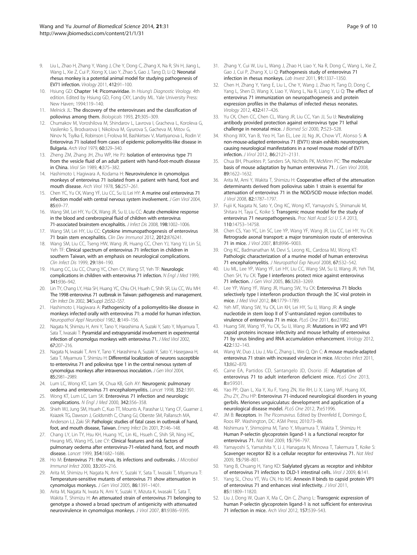- <span id="page-8-0"></span>9. Liu L, Zhao H, Zhang Y, Wang J, Che Y, Dong C, Zhang X, Na R, Shi H, Jiang L, Wang L, Xie Z, Cui P, Xiong X, Liao Y, Zhao S, Gao J, Tang D, Li Q: Neonatal rhesus monkey is a potential animal model for studying pathogenesis of EV71 infection. Virology 2011, 412:91–100.
- 10. Hsiung GD: Chapter 14: Picornaviridae. In Hsiung's Diagnostic Virology. 4th edition. Edited by Hsiung GD, Fong CKY, Landry ML. Yale University Press: New Haven; 1994:119–140.
- 11. Melnick JL: The discovery of the enteroviruses and the classification of poliovirus among them. Biologicals 1993, 21:305–309.
- 12. Chumakov M, Voroshilova M, Shindarov L, Lavrova I, Gracheva L, Koroleva G, Vasilenko S, Brodvarova I, Nikolova M, Gyurova S, Gacheva M, Mitov G, Ninov N, Tsylka E, Robinson I, Frolova M, Bashkirtsev V, Martiyanova L, Rodin V: Enterovirus 71 isolated from cases of epidemic poliomyelitis-like disease in Bulgaria. Arch Virol 1979, 60:329–340.
- 13. Zheng ZM, Zhang JH, Zhu WP, He PJ: Isolation of enterovirus type 71 from the vesicle fluid of an adult patient with hand-foot-mouth disease in China. Virol Sin 1989, 4:375–382.
- 14. Hashimoto I, Hagiwara A, Kodama H: Neurovirulence in cynomolgus monkeys of enterovirus 71 isolated from a patient with hand, foot and mouth disease. Arch Virol 1978, 56:257–261.
- 15. Chen YC, Yu CK, Wang YF, Liu CC, Su IJ, Lei HY: A murine oral enterovirus 71 infection model with central nervous system involvement. J Gen Virol 2004, 85:69–77.
- 16. Wang SM, Lei HY, Yu CK, Wang JR, Su IJ, Liu CC: Acute chemokine response in the blood and cerebrospinal fluid of children with enterovirus 71-associated brainstem encephalitis. J Infect Dis 2008, 198:1002–1006.
- 17. Wang SM, Lei HY, Liu CC: Cytokine immunopathogenesis of enterovirus 71 brain stem encephalitis. Clin Dev Immunol 2012, 2012:876241.
- 18. Wang SM, Liu CC, Tseng HW, Wang JR, Huang CC, Chen YJ, Yang YJ, Lin SJ, Yeh TF: Clinical spectrum of enterovirus 71 infection in children in southern Taiwan, with an emphasis on neurological complications. Clin Infect Dis 1999, 29:184–190.
- 19. Huang CC, Liu CC, Chang YC, Chen CY, Wang ST, Yeh TF: Neurologic complications in children with enterovirus 71 infection. N Engl J Med 1999, 341:936–942.
- 20. Lin TY, Chang LY, Hsia SH, Huang YC, Chiu CH, Hsueh C, Shih SR, Liu CC, Wu MH: The 1998 enterovirus 71 outbreak in Taiwan: pathogenesis and management. Clin Infect Dis 2002, 34(Suppl 2):S52–S57.
- 21. Hashimoto I, Hagiwara A: Pathogenicity of a poliomyelitis-like disease in monkeys infected orally with enterovirus 71: a model for human infection. Neuropathol Appl Neurobiol 1982, 8:149–156.
- 22. Nagata N, Shimizu H, Ami Y, Tano Y, Harashima A, Suzaki Y, Sato Y, Miyamura T, Sata T, Iwasaki T: Pyramidal and extrapyramidal involvement in experimental infection of cynomolgus monkeys with enterovirus 71. J Med Virol 2002, 67:207–216.
- 23. Nagata N, Iwasaki T, Ami Y, Tano Y, Harashima A, Suzaki Y, Sato Y, Hasegawa H, Sata T, Miyamura T, Shimizu H: Differential localization of neurons susceptible to enterovirus 71 and poliovirus type 1 in the central nervous system of cynomolgus monkeys after intravenous inoculation. J Gen Virol 2004, 85:2981–2989.
- 24. Lum LC, Wong KT, Lam SK, Chua KB, Goh AY: Neurogenic pulmonary oedema and enterovirus 71 encephalomyelitis. Lancet 1998, 352:1391.
- 25. Wong KT, Lum LC, Lam SK: Enterovirus 71 infection and neurologic complications. N Engl J Med 2000, 342:356–358.
- 26. Shieh WJ, Jung SM, Hsueh C, Kuo TT, Mounts A, Parashar U, Yang CF, Guarner J, Ksiazek TG, Dawson J, Goldsmith C, Chang GJ, Oberste SM, Pallansch MA, Anderson LJ, Zaki SR: Pathologic studies of fatal cases in outbreak of hand, foot, and mouth disease, Taiwan. Emerg Infect Dis 2001, 7:146–148.
- 27. Chang LY, Lin TY, Hsu KH, Huang YC, Lin KL, Hsueh C, Shih SR, Ning HC, Hwang MS, Wang HS, Lee CY: Clinical features and risk factors of pulmonary oedema after enterovirus-71-related hand, foot, and mouth disease. Lancet 1999, 354:1682-1686.
- 28. Ho M: Enterovirus 71: the virus, its infections and outbreaks. J Microbiol Immunol Infect 2000, 33:205–216.
- 29. Arita M, Shimizu H, Nagata N, Ami Y, Suzaki Y, Sata T, Iwasaki T, Miyamura T: Temperature-sensitive mutants of enterovirus 71 show attenuation in cynomolgus monkeys. J Gen Virol 2005, 86:1391–1401.
- 30. Arita M, Nagata N, Iwata N, Ami Y, Suzaki Y, Mizuta K, Iwasaki T, Sata T, Wakita T, Shimizu H: An attenuated strain of enterovirus 71 belonging to genotype a showed a broad spectrum of antigenicity with attenuated neurovirulence in cynomolgus monkeys. J Virol 2007, 81:9386–9395.
- 31. Zhang Y, Cui W, Liu L, Wang J, Zhao H, Liao Y, Na R, Dong C, Wang L, Xie Z, Gao J, Cui P, Zhang X, Li Q: Pathogenesis study of enterovirus 71 infection in rhesus monkeys. Lab Invest 2011, 91:1337–1350.
- 32. Chen H, Zhang Y, Yang E, Liu L, Che Y, Wang J, Zhao H, Tang D, Dong C, Yang L, Shen D, Wang X, Liao Y, Wang L, Na R, Liang Y, Li Q: The effect of enterovirus 71 immunization on neuropathogenesis and protein expression profiles in the thalamus of infected rhesus neonates. Virology 2012, 432:417–426.
- 33. Yu CK, Chen CC, Chen CL, Wang JR, Liu CC, Yan JJ, Su IJ: Neutralizing antibody provided protection against enterovirus type 71 lethal challenge in neonatal mice. J Biomed Sci 2000, 7:523–528.
- 34. Khong WX, Yan B, Yeo H, Tan EL, Lee JJ, Ng JK, Chow VT, Alonso S: A non-mouse-adapted enterovirus 71 (EV71) strain exhibits neurotropism, causing neurological manifestations in a novel mouse model of EV71 infection. J Virol 2012, 86:2121–2131.
- 35. Chua BH, Phuektes P, Sanders SA, Nicholls PK, McMinn PC: The molecular basis of mouse adaptation by human enterovirus 71. J Gen Virol 2008, 89:1622–1632.
- 36. Arita M, Ami Y, Wakita T, Shimizu H: Cooperative effect of the attenuation determinants derived from poliovirus sabin 1 strain is essential for attenuation of enterovirus 71 in the NOD/SCID mouse infection model. J Virol 2008, 82:1787–1797.
- 37. Fujii K, Nagata N, Sato Y, Ong KC, Wong KT, Yamayoshi S, Shimanuki M, Shitara H, Taya C, Koike S: Transgenic mouse model for the study of enterovirus 71 neuropathogenesis. Proc Natl Acad Sci U S A 2013, 110:14753–14758.
- 38. Chen CS, Yao YC, Lin SC, Lee YP, Wang YF, Wang JR, Liu CC, Lei HY, Yu CK: Retrograde axonal transport: a major transmission route of enterovirus 71 in mice. J Virol 2007, 81:8996-9003.
- 39. Ong KC, Badmanathan M, Devi S, Leong KL, Cardosa MJ, Wong KT: Pathologic characterization of a murine model of human enterovirus 71 encephalomyelitis. J Neuropathol Exp Neurol 2008, 67:532-542.
- 40. Liu ML, Lee YP, Wang YF, Lei HY, Liu CC, Wang SM, Su IJ, Wang JR, Yeh TM, Chen SH, Yu CK: Type I interferons protect mice against enterovirus 71 infection. J Gen Virol 2005, 86:3263–3269.
- 41. Lee YP, Wang YF, Wang JR, Huang SW, Yu CK: Enterovirus 71 blocks selectively type I interferon production through the 3C viral protein in mice. J Med Virol 2012, 84:1779–1789.
- 42. Yeh MT, Wang SW, Yu CK, Lin KH, Lei HY, Su IJ, Wang JR: A single nucleotide in stem loop II of 5′-untranslated region contributes to virulence of enterovirus 71 in mice. PLoS One 2011, 6:e27082.
- 43. Huang SW, Wang YF, Yu CK, Su IJ, Wang JR: Mutations in VP2 and VP1 capsid proteins increase infectivity and mouse lethality of enterovirus 71 by virus binding and RNA accumulation enhancement. Virology 2012, 422:132–143.
- 44. Wang W, Duo J, Liu J, Ma C, Zhang L, Wei Q, Qin C: A mouse muscle-adapted enterovirus 71 strain with increased virulence in mice. Microbes Infect 2011, 13:862–870.
- 45. Caine EA, Partidos CD, Santangelo JD, Osorio JE: Adaptation of enterovirus 71 to adult interferon deficient mice. PLoS One 2013, 8:e59501.
- 46. Yao PP, Qian L, Xia Y, Xu F, Yang ZN, Xie RH, Li X, Liang WF, Huang XX, Zhu ZY, Zhu HP: Enterovirus 71-induced neurological disorders in young gerbils. Meriones unguiculatus: development and application of a neurological disease model. PLoS One 2012, 7:e51996.
- 47. JM B: Receptors. In The Picornavirus. Edited by Ehrenfeld E, Domingo E, Roos RP. Washington, DC: ASM Press; 2010:73–86.
- 48. Nishimura Y, Shimojima M, Tano Y, Miyamura T, Wakita T, Shimizu H: Human P-selectin glycoprotein ligand-1 is a functional receptor for enterovirus 71. Nat Med 2009, 15:794–797.
- 49. Yamayoshi S, Yamashita Y, Li J, Hanagata N, Minowa T, Takemura T, Koike S: Scavenger receptor B2 is a cellular receptor for enterovirus 71. Nat Med 2009, 15:798–801.
- 50. Yang B, Chuang H, Yang KD: Sialylated glycans as receptor and inhibitor of enterovirus 71 infection to DLD-1 intestinal cells. Virol J 2009, 6:141
- 51. Yang SL, Chou YT, Wu CN, Ho MS: Annexin II binds to capsid protein VP1 of enterovirus 71 and enhances viral infectivity. J Virol 2011, 85:11809–11820.
- 52. Liu J, Dong W, Quan X, Ma C, Qin C, Zhang L: Transgenic expression of human P-selectin glycoprotein ligand-1 is not sufficient for enterovirus 71 infection in mice. Arch Virol 2012, 157:539–543.